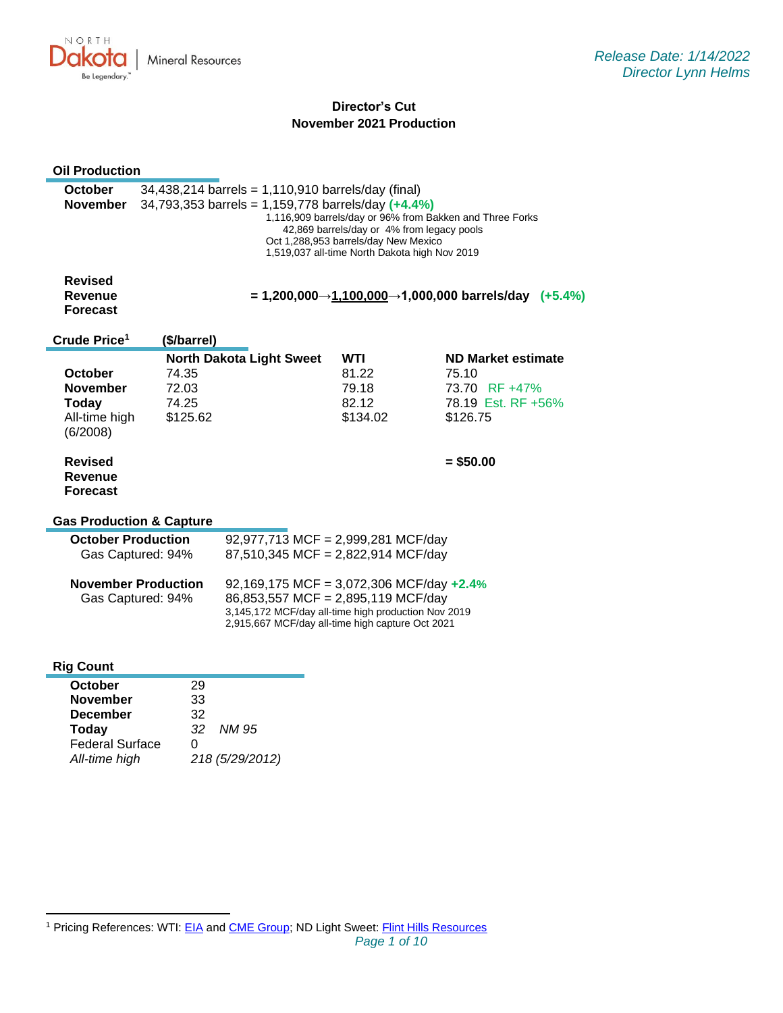

# **Director's Cut November 2021 Production**

| <b>Oil Production</b>                                                                   |                                                                                                                                                                                                                                                                                                                  |                                                                                                                                                                                              |                                                                          |                                                                                       |  |  |
|-----------------------------------------------------------------------------------------|------------------------------------------------------------------------------------------------------------------------------------------------------------------------------------------------------------------------------------------------------------------------------------------------------------------|----------------------------------------------------------------------------------------------------------------------------------------------------------------------------------------------|--------------------------------------------------------------------------|---------------------------------------------------------------------------------------|--|--|
| <b>October</b><br><b>November</b>                                                       | $34,438,214$ barrels = 1,110,910 barrels/day (final)<br>34,793,353 barrels = 1,159,778 barrels/day $(+4.4\%)$<br>1,116,909 barrels/day or 96% from Bakken and Three Forks<br>42,869 barrels/day or 4% from legacy pools<br>Oct 1,288,953 barrels/day New Mexico<br>1,519,037 all-time North Dakota high Nov 2019 |                                                                                                                                                                                              |                                                                          |                                                                                       |  |  |
| <b>Revised</b><br>Revenue<br><b>Forecast</b>                                            | $= 1,200,000 \rightarrow 1,100,000 \rightarrow 1,000,000$ barrels/day (+5.4%)                                                                                                                                                                                                                                    |                                                                                                                                                                                              |                                                                          |                                                                                       |  |  |
| Crude Price <sup>1</sup>                                                                | (\$/barrel)                                                                                                                                                                                                                                                                                                      |                                                                                                                                                                                              |                                                                          |                                                                                       |  |  |
| October<br><b>November</b><br><b>Today</b><br>All-time high<br>(6/2008)                 | 74.35<br>72.03<br>74.25<br>\$125.62                                                                                                                                                                                                                                                                              | <b>North Dakota Light Sweet</b>                                                                                                                                                              | <b>WTI</b><br>81.22<br>79.18<br>82.12<br>\$134.02                        | <b>ND Market estimate</b><br>75.10<br>73.70 RF +47%<br>78.19 Est. RF +56%<br>\$126.75 |  |  |
| Revised<br><b>Revenue</b><br><b>Forecast</b><br><b>Gas Production &amp; Capture</b>     |                                                                                                                                                                                                                                                                                                                  |                                                                                                                                                                                              |                                                                          | $= $50.00$                                                                            |  |  |
| <b>October Production</b>                                                               | Gas Captured: 94%                                                                                                                                                                                                                                                                                                |                                                                                                                                                                                              | 92,977,713 MCF = 2,999,281 MCF/day<br>87,510,345 MCF = 2,822,914 MCF/day |                                                                                       |  |  |
| <b>November Production</b><br>Gas Captured: 94%                                         |                                                                                                                                                                                                                                                                                                                  | 92,169,175 MCF = 3,072,306 MCF/day $+2.4\%$<br>86,853,557 MCF = 2,895,119 MCF/day<br>3,145,172 MCF/day all-time high production Nov 2019<br>2,915,667 MCF/day all-time high capture Oct 2021 |                                                                          |                                                                                       |  |  |
| <b>Rig Count</b>                                                                        |                                                                                                                                                                                                                                                                                                                  |                                                                                                                                                                                              |                                                                          |                                                                                       |  |  |
| October<br><b>November</b><br><b>December</b><br><b>Today</b><br><b>Federal Surface</b> | 29<br>33<br>32<br>32<br>0                                                                                                                                                                                                                                                                                        | <b>NM 95</b>                                                                                                                                                                                 |                                                                          |                                                                                       |  |  |

*All-time high 218 (5/29/2012)*

<sup>&</sup>lt;sup>1</sup> Pricing References: WTI: [EIA](https://www.eia.gov/dnav/pet/hist/LeafHandler.ashx?n=PET&s=RCLC1&f=M) and [CME Group;](https://www.cmegroup.com/trading/energy/crude-oil/light-sweet-crude.html) ND Light Sweet: [Flint Hills Resources](https://www.fhr.com/products-services/fuels-and-aromatics)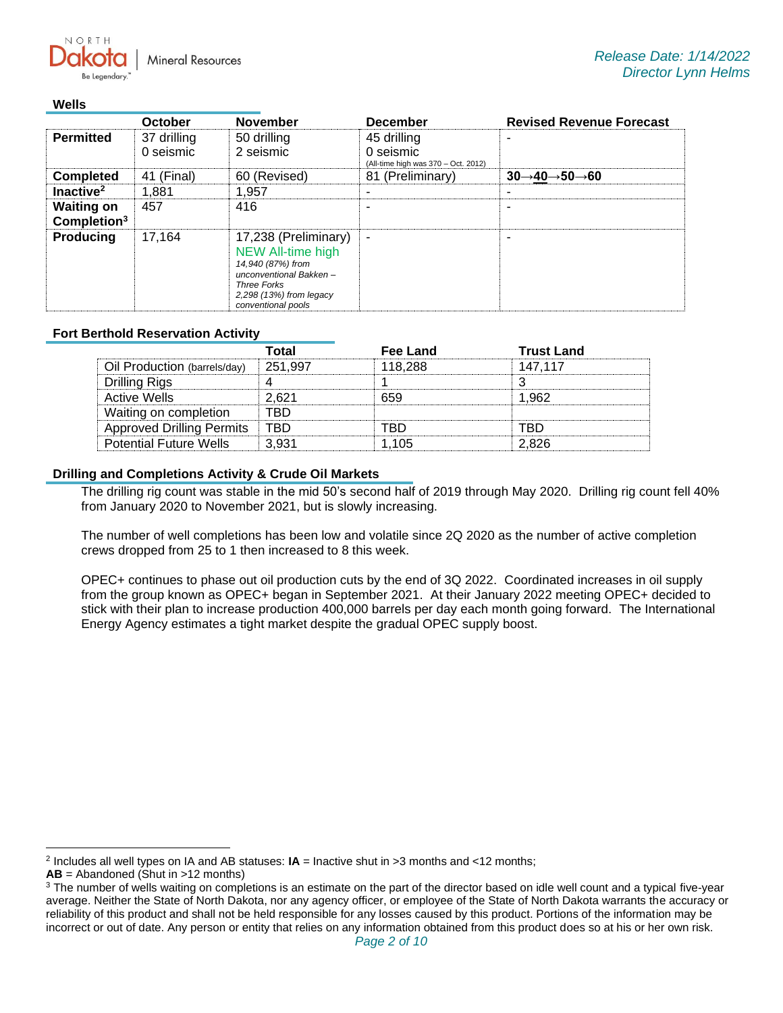**Mineral Resources** 

#### **Wells**

NORTH

|                                              | <b>October</b>           | <b>November</b>                                                                                                                                                        | <b>December</b>                                                 | <b>Revised Revenue Forecast</b>                   |
|----------------------------------------------|--------------------------|------------------------------------------------------------------------------------------------------------------------------------------------------------------------|-----------------------------------------------------------------|---------------------------------------------------|
| <b>Permitted</b>                             | 37 drilling<br>0 seismic | 50 drilling<br>2 seismic                                                                                                                                               | 45 drilling<br>0 seismic<br>(All-time high was 370 - Oct. 2012) |                                                   |
| <b>Completed</b>                             | 41 (Final)               | 60 (Revised)                                                                                                                                                           | 81 (Preliminary)                                                | $30 \rightarrow 40 \rightarrow 50 \rightarrow 60$ |
| Inactive <sup>2</sup>                        | 1,881                    | 1.957                                                                                                                                                                  |                                                                 |                                                   |
| <b>Waiting on</b><br>Completion <sup>3</sup> | 457                      | 416                                                                                                                                                                    |                                                                 |                                                   |
| <b>Producing</b>                             | 17.164                   | 17,238 (Preliminary)<br><b>NEW All-time high</b><br>14,940 (87%) from<br>unconventional Bakken-<br><b>Three Forks</b><br>2,298 (13%) from legacy<br>conventional pools | $\blacksquare$                                                  |                                                   |

## **Fort Berthold Reservation Activity**

|                                  | Total   | Fee Land | <b>Trust Land</b> |
|----------------------------------|---------|----------|-------------------|
| Oil Production (barrels/day)     | 251.997 | 118.288  | 147.117           |
| Drilling Rigs                    |         |          |                   |
| Active Wells                     | 2.621   | 659      | 1.962             |
| Waiting on completion            | FRD     |          |                   |
| <b>Approved Drilling Permits</b> | TRD     | rrn      | RD.               |
| <b>Potential Future Wells</b>    | 3.931   | 1.105    | 2.826             |

## **Drilling and Completions Activity & Crude Oil Markets**

The drilling rig count was stable in the mid 50's second half of 2019 through May 2020. Drilling rig count fell 40% from January 2020 to November 2021, but is slowly increasing.

The number of well completions has been low and volatile since 2Q 2020 as the number of active completion crews dropped from 25 to 1 then increased to 8 this week.

OPEC+ continues to phase out oil production cuts by the end of 3Q 2022. Coordinated increases in oil supply from the group known as OPEC+ began in September 2021. At their January 2022 meeting OPEC+ decided to stick with their plan to increase production 400,000 barrels per day each month going forward. The International Energy Agency estimates a tight market despite the gradual OPEC supply boost.

<sup>2</sup> Includes all well types on IA and AB statuses: **IA** = Inactive shut in >3 months and <12 months;

**AB** = Abandoned (Shut in >12 months)

<sup>&</sup>lt;sup>3</sup> The number of wells waiting on completions is an estimate on the part of the director based on idle well count and a typical five-year average. Neither the State of North Dakota, nor any agency officer, or employee of the State of North Dakota warrants the accuracy or reliability of this product and shall not be held responsible for any losses caused by this product. Portions of the information may be incorrect or out of date. Any person or entity that relies on any information obtained from this product does so at his or her own risk.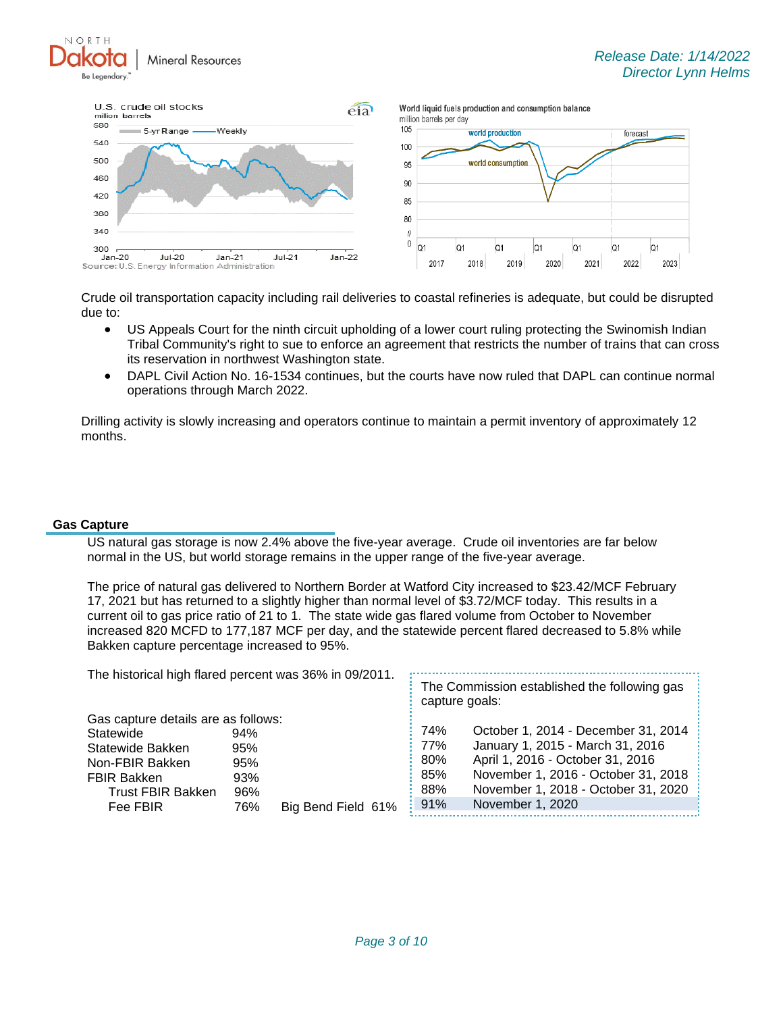NORTH **Mineral Resources** Be Legendary



Crude oil transportation capacity including rail deliveries to coastal refineries is adequate, but could be disrupted due to:

- US Appeals Court for the ninth circuit upholding of a lower court ruling protecting the Swinomish Indian Tribal Community's right to sue to enforce an agreement that restricts the number of trains that can cross its reservation in northwest Washington state.
- DAPL Civil Action No. 16-1534 continues, but the courts have now ruled that DAPL can continue normal operations through March 2022.

Drilling activity is slowly increasing and operators continue to maintain a permit inventory of approximately 12 months.

#### **Gas Capture**

US natural gas storage is now 2.4% above the five-year average. Crude oil inventories are far below normal in the US, but world storage remains in the upper range of the five-year average.

The price of natural gas delivered to Northern Border at Watford City increased to \$23.42/MCF February 17, 2021 but has returned to a slightly higher than normal level of \$3.72/MCF today. This results in a current oil to gas price ratio of 21 to 1. The state wide gas flared volume from October to November increased 820 MCFD to 177,187 MCF per day, and the statewide percent flared decreased to 5.8% while Bakken capture percentage increased to 95%.

| The historical high flared percent was 36% in 09/2011. |     |                    | The Commission established the following gas<br>capture goals: |                                     |  |
|--------------------------------------------------------|-----|--------------------|----------------------------------------------------------------|-------------------------------------|--|
| Gas capture details are as follows:                    |     |                    |                                                                |                                     |  |
| Statewide                                              | 94% |                    | 74%                                                            | October 1, 2014 - December 31, 2014 |  |
| Statewide Bakken                                       | 95% |                    | : 77%                                                          | January 1, 2015 - March 31, 2016    |  |
| Non-FBIR Bakken                                        | 95% |                    | 80%                                                            | April 1, 2016 - October 31, 2016    |  |
| <b>FBIR Bakken</b>                                     | 93% |                    | 85%                                                            | November 1, 2016 - October 31, 2018 |  |
| <b>Trust FBIR Bakken</b>                               | 96% |                    | 88%                                                            | November 1, 2018 - October 31, 2020 |  |
| Fee FBIR                                               | 76% | Big Bend Field 61% | $\frac{1}{2}$ 91%                                              | November 1, 2020                    |  |
|                                                        |     |                    |                                                                |                                     |  |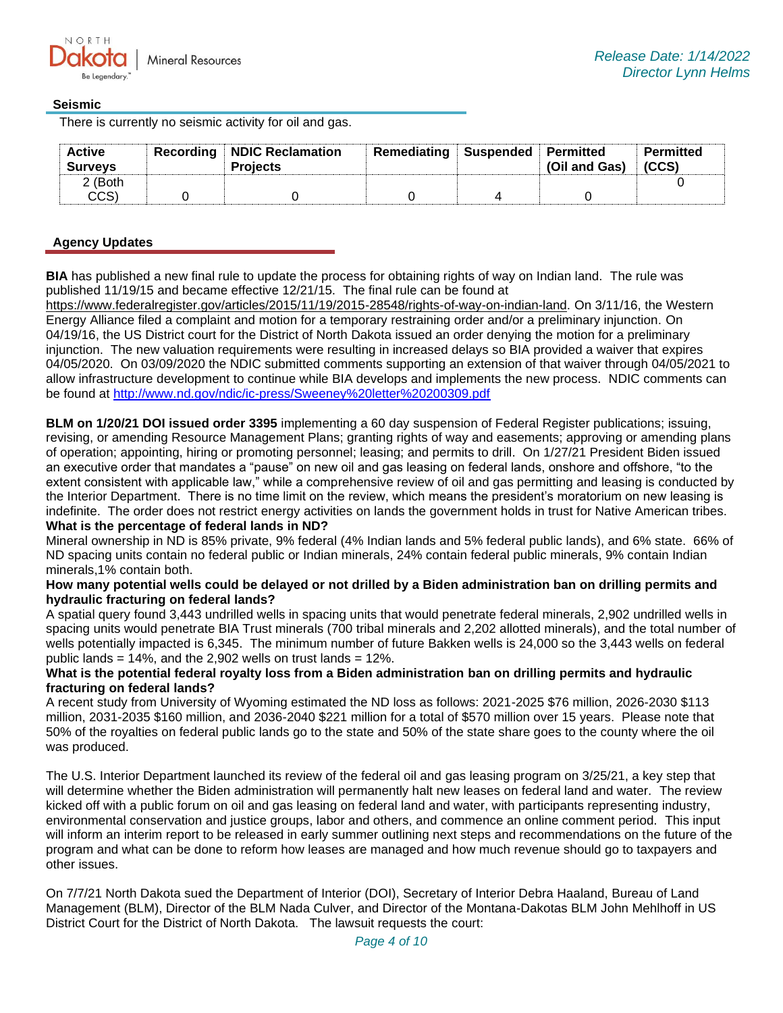## **Seismic**

There is currently no seismic activity for oil and gas.

| <b>Active</b><br><b>Surveys</b> | <b>Recording NDIC Reclamation</b><br><b>Projects</b> | Remediating Suspended Permitted | (Oil and Gas) | Permitted<br>(CCS) |
|---------------------------------|------------------------------------------------------|---------------------------------|---------------|--------------------|
| 2 (Both                         |                                                      |                                 |               |                    |
| CCS)                            |                                                      |                                 |               |                    |

## **Agency Updates**

**BIA** has published a new final rule to update the process for obtaining rights of way on Indian land. The rule was published 11/19/15 and became effective 12/21/15. The final rule can be found at

[https://www.federalregister.gov/articles/2015/11/19/2015-28548/rights-of-way-on-indian-land.](https://gcc02.safelinks.protection.outlook.com/?url=https%3A%2F%2Fwww.federalregister.gov%2Farticles%2F2015%2F11%2F19%2F2015-28548%2Frights-of-way-on-indian-land&data=04%7C01%7Ckahaarsager%40nd.gov%7C564ba615188c4a34e92408d9d76dfd4e%7C2dea0464da514a88bae2b3db94bc0c54%7C0%7C0%7C637777689661818215%7CUnknown%7CTWFpbGZsb3d8eyJWIjoiMC4wLjAwMDAiLCJQIjoiV2luMzIiLCJBTiI6Ik1haWwiLCJXVCI6Mn0%3D%7C3000&sdata=A7VSWyCu7urR4PmqRCAlB4RcVu68lv8EmFOnXYOSw0k%3D&reserved=0) On 3/11/16, the Western Energy Alliance filed a complaint and motion for a temporary restraining order and/or a preliminary injunction. On 04/19/16, the US District court for the District of North Dakota issued an order denying the motion for a preliminary injunction. The new valuation requirements were resulting in increased delays so BIA provided a waiver that expires 04/05/2020. On 03/09/2020 the NDIC submitted comments supporting an extension of that waiver through 04/05/2021 to allow infrastructure development to continue while BIA develops and implements the new process. NDIC comments can be found at<http://www.nd.gov/ndic/ic-press/Sweeney%20letter%20200309.pdf>

**BLM on 1/20/21 DOI issued order 3395** implementing a 60 day suspension of Federal Register publications; issuing, revising, or amending Resource Management Plans; granting rights of way and easements; approving or amending plans of operation; appointing, hiring or promoting personnel; leasing; and permits to drill. On 1/27/21 President Biden issued an executive order that mandates a "pause" on new oil and gas leasing on federal lands, onshore and offshore, "to the extent consistent with applicable law," while a comprehensive review of oil and gas permitting and leasing is conducted by the Interior Department. There is no time limit on the review, which means the president's moratorium on new leasing is indefinite. The order does not restrict energy activities on lands the government holds in trust for Native American tribes. **What is the percentage of federal lands in ND?**

Mineral ownership in ND is 85% private, 9% federal (4% Indian lands and 5% federal public lands), and 6% state. 66% of ND spacing units contain no federal public or Indian minerals, 24% contain federal public minerals, 9% contain Indian minerals,1% contain both.

#### **How many potential wells could be delayed or not drilled by a Biden administration ban on drilling permits and hydraulic fracturing on federal lands?**

A spatial query found 3,443 undrilled wells in spacing units that would penetrate federal minerals, 2,902 undrilled wells in spacing units would penetrate BIA Trust minerals (700 tribal minerals and 2,202 allotted minerals), and the total number of wells potentially impacted is 6,345. The minimum number of future Bakken wells is 24,000 so the 3,443 wells on federal public lands  $= 14\%$ , and the 2,902 wells on trust lands  $= 12\%$ .

## **What is the potential federal royalty loss from a Biden administration ban on drilling permits and hydraulic fracturing on federal lands?**

A recent study from University of Wyoming estimated the ND loss as follows: 2021-2025 \$76 million, 2026-2030 \$113 million, 2031-2035 \$160 million, and 2036-2040 \$221 million for a total of \$570 million over 15 years. Please note that 50% of the royalties on federal public lands go to the state and 50% of the state share goes to the county where the oil was produced.

The U.S. Interior Department launched its review of the federal oil and gas leasing program on 3/25/21, a key step that will determine whether the Biden administration will permanently halt new leases on federal land and water. The review kicked off with a public forum on oil and gas leasing on federal land and water, with participants representing industry, environmental conservation and justice groups, labor and others, and commence an online comment period. This input will inform an interim report to be released in early summer outlining next steps and recommendations on the future of the program and what can be done to reform how leases are managed and how much revenue should go to taxpayers and other issues.

On 7/7/21 North Dakota sued the Department of Interior (DOI), Secretary of Interior Debra Haaland, Bureau of Land Management (BLM), Director of the BLM Nada Culver, and Director of the Montana-Dakotas BLM John Mehlhoff in US District Court for the District of North Dakota. The lawsuit requests the court: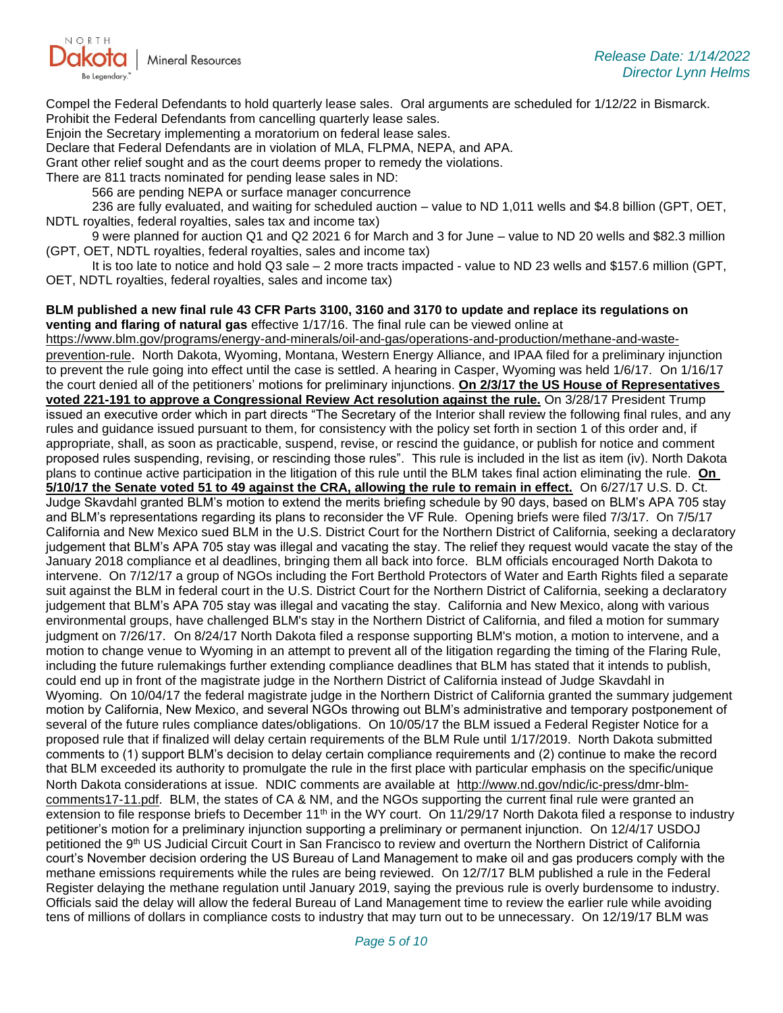

Compel the Federal Defendants to hold quarterly lease sales. Oral arguments are scheduled for 1/12/22 in Bismarck. Prohibit the Federal Defendants from cancelling quarterly lease sales.

Enjoin the Secretary implementing a moratorium on federal lease sales.

Declare that Federal Defendants are in violation of MLA, FLPMA, NEPA, and APA.

Grant other relief sought and as the court deems proper to remedy the violations.

There are 811 tracts nominated for pending lease sales in ND:

566 are pending NEPA or surface manager concurrence

236 are fully evaluated, and waiting for scheduled auction – value to ND 1,011 wells and \$4.8 billion (GPT, OET, NDTL royalties, federal royalties, sales tax and income tax)

9 were planned for auction Q1 and Q2 2021 6 for March and 3 for June – value to ND 20 wells and \$82.3 million (GPT, OET, NDTL royalties, federal royalties, sales and income tax)

It is too late to notice and hold Q3 sale – 2 more tracts impacted - value to ND 23 wells and \$157.6 million (GPT, OET, NDTL royalties, federal royalties, sales and income tax)

**BLM published a new final rule 43 CFR Parts 3100, 3160 and 3170 to update and replace its regulations on venting and flaring of natural gas** effective 1/17/16. The final rule can be viewed online at

[https://www.blm.gov/programs/energy-and-minerals/oil-and-gas/operations-and-production/methane-and-waste](https://gcc02.safelinks.protection.outlook.com/?url=https%3A%2F%2Fwww.blm.gov%2Fprograms%2Fenergy-and-minerals%2Foil-and-gas%2Foperations-and-production%2Fmethane-and-waste-prevention-rule&data=04%7C01%7Ckahaarsager%40nd.gov%7C564ba615188c4a34e92408d9d76dfd4e%7C2dea0464da514a88bae2b3db94bc0c54%7C0%7C0%7C637777689661818215%7CUnknown%7CTWFpbGZsb3d8eyJWIjoiMC4wLjAwMDAiLCJQIjoiV2luMzIiLCJBTiI6Ik1haWwiLCJXVCI6Mn0%3D%7C3000&sdata=F%2FjCuEobsZ8P7R1Z8%2FkXqBMazZEA%2BVphVVPYr4jZrxU%3D&reserved=0)[prevention-rule](https://gcc02.safelinks.protection.outlook.com/?url=https%3A%2F%2Fwww.blm.gov%2Fprograms%2Fenergy-and-minerals%2Foil-and-gas%2Foperations-and-production%2Fmethane-and-waste-prevention-rule&data=04%7C01%7Ckahaarsager%40nd.gov%7C564ba615188c4a34e92408d9d76dfd4e%7C2dea0464da514a88bae2b3db94bc0c54%7C0%7C0%7C637777689661818215%7CUnknown%7CTWFpbGZsb3d8eyJWIjoiMC4wLjAwMDAiLCJQIjoiV2luMzIiLCJBTiI6Ik1haWwiLCJXVCI6Mn0%3D%7C3000&sdata=F%2FjCuEobsZ8P7R1Z8%2FkXqBMazZEA%2BVphVVPYr4jZrxU%3D&reserved=0). North Dakota, Wyoming, Montana, Western Energy Alliance, and IPAA filed for a preliminary injunction to prevent the rule going into effect until the case is settled. A hearing in Casper, Wyoming was held 1/6/17. On 1/16/17 the court denied all of the petitioners' motions for preliminary injunctions. **On 2/3/17 the US House of Representatives voted 221-191 to approve a Congressional Review Act resolution against the rule.** On 3/28/17 President Trump issued an executive order which in part directs "The Secretary of the Interior shall review the following final rules, and any rules and guidance issued pursuant to them, for consistency with the policy set forth in section 1 of this order and, if appropriate, shall, as soon as practicable, suspend, revise, or rescind the guidance, or publish for notice and comment proposed rules suspending, revising, or rescinding those rules". This rule is included in the list as item (iv). North Dakota plans to continue active participation in the litigation of this rule until the BLM takes final action eliminating the rule. **On 5/10/17 the Senate voted 51 to 49 against the CRA, allowing the rule to remain in effect.** On 6/27/17 U.S. D. Ct. Judge Skavdahl granted BLM's motion to extend the merits briefing schedule by 90 days, based on BLM's APA 705 stay and BLM's representations regarding its plans to reconsider the VF Rule. Opening briefs were filed 7/3/17. On 7/5/17 California and New Mexico sued BLM in the U.S. District Court for the Northern District of California, seeking a declaratory judgement that BLM's APA 705 stay was illegal and vacating the stay. The relief they request would vacate the stay of the January 2018 compliance et al deadlines, bringing them all back into force. BLM officials encouraged North Dakota to intervene. On 7/12/17 a group of NGOs including the Fort Berthold Protectors of Water and Earth Rights filed a separate suit against the BLM in federal court in the U.S. District Court for the Northern District of California, seeking a declaratory judgement that BLM's APA 705 stay was illegal and vacating the stay. California and New Mexico, along with various environmental groups, have challenged BLM's stay in the Northern District of California, and filed a motion for summary judgment on 7/26/17. On 8/24/17 North Dakota filed a response supporting BLM's motion, a motion to intervene, and a motion to change venue to Wyoming in an attempt to prevent all of the litigation regarding the timing of the Flaring Rule, including the future rulemakings further extending compliance deadlines that BLM has stated that it intends to publish, could end up in front of the magistrate judge in the Northern District of California instead of Judge Skavdahl in Wyoming. On 10/04/17 the federal magistrate judge in the Northern District of California granted the summary judgement motion by California, New Mexico, and several NGOs throwing out BLM's administrative and temporary postponement of several of the future rules compliance dates/obligations. On 10/05/17 the BLM issued a Federal Register Notice for a proposed rule that if finalized will delay certain requirements of the BLM Rule until 1/17/2019. North Dakota submitted comments to (1) support BLM's decision to delay certain compliance requirements and (2) continue to make the record that BLM exceeded its authority to promulgate the rule in the first place with particular emphasis on the specific/unique North Dakota considerations at issue. NDIC comments are available at [http://www.nd.gov/ndic/ic-press/dmr-blm](http://www.nd.gov/ndic/ic-press/dmr-blm-comments17-11.pdf)[comments17-11.pdf.](http://www.nd.gov/ndic/ic-press/dmr-blm-comments17-11.pdf) BLM, the states of CA & NM, and the NGOs supporting the current final rule were granted an extension to file response briefs to December  $11<sup>th</sup>$  in the WY court. On  $11/29/17$  North Dakota filed a response to industry petitioner's motion for a preliminary injunction supporting a preliminary or permanent injunction. On 12/4/17 USDOJ petitioned the 9<sup>th</sup> US Judicial Circuit Court in San Francisco to review and overturn the Northern District of California court's November decision ordering the US Bureau of Land Management to make oil and gas producers comply with the methane emissions requirements while the rules are being reviewed. On 12/7/17 BLM published a rule in the Federal Register delaying the methane regulation until January 2019, saying the previous rule is overly burdensome to industry. Officials said the delay will allow the federal Bureau of Land Management time to review the earlier rule while avoiding tens of millions of dollars in compliance costs to industry that may turn out to be unnecessary. On 12/19/17 BLM was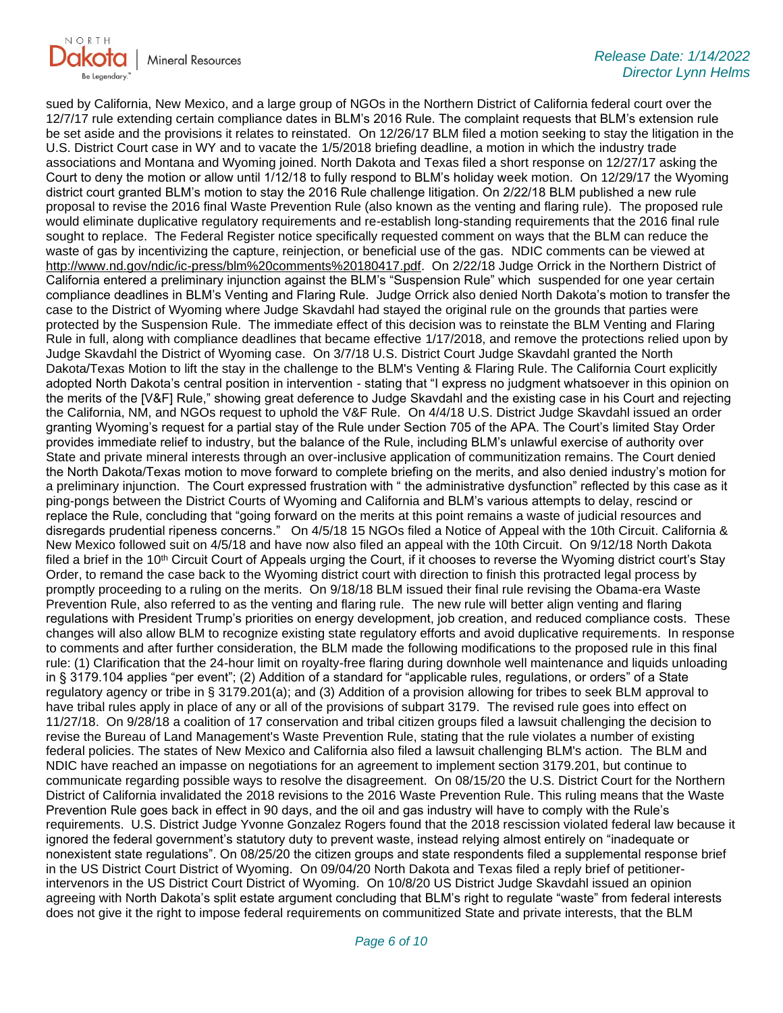

sued by California, New Mexico, and a large group of NGOs in the Northern District of California federal court over the 12/7/17 rule extending certain compliance dates in BLM's 2016 Rule. The complaint requests that BLM's extension rule be set aside and the provisions it relates to reinstated. On 12/26/17 BLM filed a motion seeking to stay the litigation in the U.S. District Court case in WY and to vacate the 1/5/2018 briefing deadline, a motion in which the industry trade associations and Montana and Wyoming joined. North Dakota and Texas filed a short response on 12/27/17 asking the Court to deny the motion or allow until 1/12/18 to fully respond to BLM's holiday week motion. On 12/29/17 the Wyoming district court granted BLM's motion to stay the 2016 Rule challenge litigation. On 2/22/18 BLM published a new rule proposal to revise the 2016 final Waste Prevention Rule (also known as the venting and flaring rule). The proposed rule would eliminate duplicative regulatory requirements and re-establish long-standing requirements that the 2016 final rule sought to replace. The Federal Register notice specifically requested comment on ways that the BLM can reduce the waste of gas by incentivizing the capture, reinjection, or beneficial use of the gas. NDIC comments can be viewed at [http://www.nd.gov/ndic/ic-press/blm%20comments%20180417.pdf.](http://www.nd.gov/ndic/ic-press/blm%20comments%20180417.pdf) On 2/22/18 Judge Orrick in the Northern District of California entered a preliminary injunction against the BLM's "Suspension Rule" which suspended for one year certain compliance deadlines in BLM's Venting and Flaring Rule. Judge Orrick also denied North Dakota's motion to transfer the case to the District of Wyoming where Judge Skavdahl had stayed the original rule on the grounds that parties were protected by the Suspension Rule. The immediate effect of this decision was to reinstate the BLM Venting and Flaring Rule in full, along with compliance deadlines that became effective 1/17/2018, and remove the protections relied upon by Judge Skavdahl the District of Wyoming case. On 3/7/18 U.S. District Court Judge Skavdahl granted the North Dakota/Texas Motion to lift the stay in the challenge to the BLM's Venting & Flaring Rule. The California Court explicitly adopted North Dakota's central position in intervention - stating that "I express no judgment whatsoever in this opinion on the merits of the [V&F] Rule," showing great deference to Judge Skavdahl and the existing case in his Court and rejecting the California, NM, and NGOs request to uphold the V&F Rule. On 4/4/18 U.S. District Judge Skavdahl issued an order granting Wyoming's request for a partial stay of the Rule under Section 705 of the APA. The Court's limited Stay Order provides immediate relief to industry, but the balance of the Rule, including BLM's unlawful exercise of authority over State and private mineral interests through an over-inclusive application of communitization remains. The Court denied the North Dakota/Texas motion to move forward to complete briefing on the merits, and also denied industry's motion for a preliminary injunction. The Court expressed frustration with " the administrative dysfunction" reflected by this case as it ping-pongs between the District Courts of Wyoming and California and BLM's various attempts to delay, rescind or replace the Rule, concluding that "going forward on the merits at this point remains a waste of judicial resources and disregards prudential ripeness concerns." On 4/5/18 15 NGOs filed a Notice of Appeal with the 10th Circuit. California & New Mexico followed suit on 4/5/18 and have now also filed an appeal with the 10th Circuit. On 9/12/18 North Dakota filed a brief in the 10<sup>th</sup> Circuit Court of Appeals urging the Court, if it chooses to reverse the Wyoming district court's Stay Order, to remand the case back to the Wyoming district court with direction to finish this protracted legal process by promptly proceeding to a ruling on the merits. On 9/18/18 BLM issued their final rule revising the Obama-era Waste Prevention Rule, also referred to as the venting and flaring rule. The new rule will better align venting and flaring regulations with President Trump's priorities on energy development, job creation, and reduced compliance costs. These changes will also allow BLM to recognize existing state regulatory efforts and avoid duplicative requirements. In response to comments and after further consideration, the BLM made the following modifications to the proposed rule in this final rule: (1) Clarification that the 24-hour limit on royalty-free flaring during downhole well maintenance and liquids unloading in § 3179.104 applies "per event"; (2) Addition of a standard for "applicable rules, regulations, or orders" of a State regulatory agency or tribe in § 3179.201(a); and (3) Addition of a provision allowing for tribes to seek BLM approval to have tribal rules apply in place of any or all of the provisions of subpart 3179. The revised rule goes into effect on 11/27/18. On 9/28/18 a coalition of 17 conservation and tribal citizen groups filed a lawsuit challenging the decision to revise the Bureau of Land Management's Waste Prevention Rule, stating that the rule violates a number of existing federal policies. The states of New Mexico and California also filed a lawsuit challenging BLM's action. The BLM and NDIC have reached an impasse on negotiations for an agreement to implement section 3179.201, but continue to communicate regarding possible ways to resolve the disagreement. On 08/15/20 the U.S. District Court for the Northern District of California invalidated the 2018 revisions to the 2016 Waste Prevention Rule. This ruling means that the Waste Prevention Rule goes back in effect in 90 days, and the oil and gas industry will have to comply with the Rule's requirements. U.S. District Judge Yvonne Gonzalez Rogers found that the 2018 rescission violated federal law because it ignored the federal government's statutory duty to prevent waste, instead relying almost entirely on "inadequate or nonexistent state regulations". On 08/25/20 the citizen groups and state respondents filed a supplemental response brief in the US District Court District of Wyoming. On 09/04/20 North Dakota and Texas filed a reply brief of petitionerintervenors in the US District Court District of Wyoming. On 10/8/20 US District Judge Skavdahl issued an opinion agreeing with North Dakota's split estate argument concluding that BLM's right to regulate "waste" from federal interests does not give it the right to impose federal requirements on communitized State and private interests, that the BLM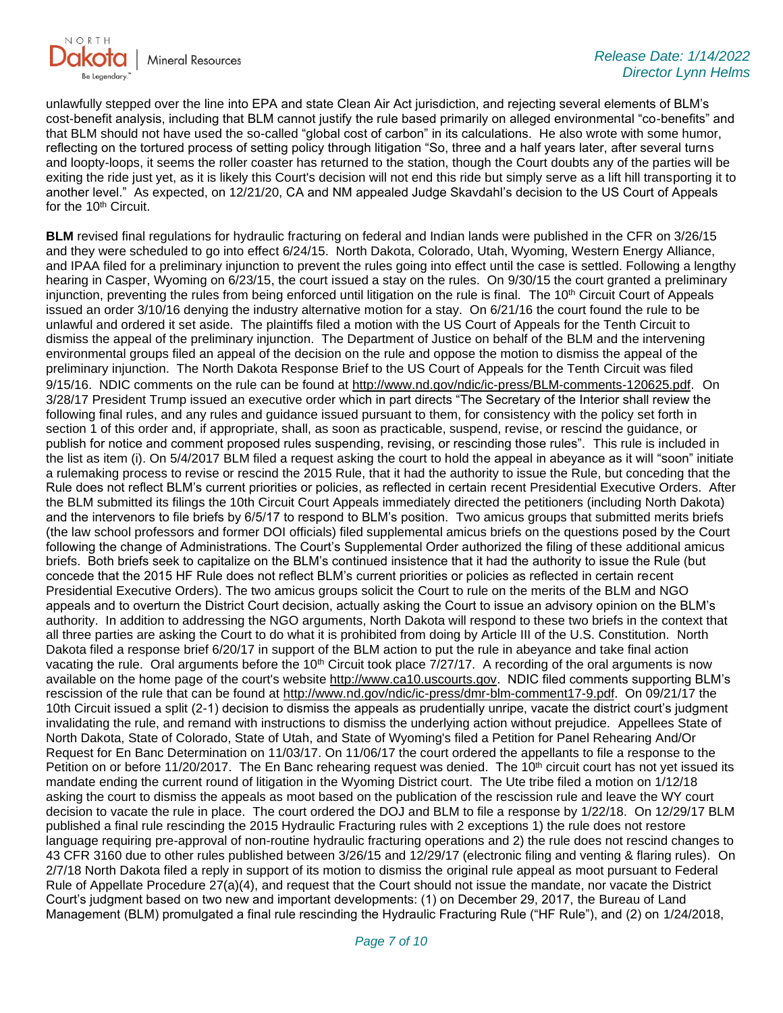

unlawfully stepped over the line into EPA and state Clean Air Act jurisdiction, and rejecting several elements of BLM's cost-benefit analysis, including that BLM cannot justify the rule based primarily on alleged environmental "co-benefits" and that BLM should not have used the so-called "global cost of carbon" in its calculations. He also wrote with some humor, reflecting on the tortured process of setting policy through litigation "So, three and a half years later, after several turns and loopty-loops, it seems the roller coaster has returned to the station, though the Court doubts any of the parties will be exiting the ride just yet, as it is likely this Court's decision will not end this ride but simply serve as a lift hill transporting it to another level." As expected, on 12/21/20, CA and NM appealed Judge Skavdahl's decision to the US Court of Appeals for the 10<sup>th</sup> Circuit.

**BLM** revised final regulations for hydraulic fracturing on federal and Indian lands were published in the CFR on 3/26/15 and they were scheduled to go into effect 6/24/15. North Dakota, Colorado, Utah, Wyoming, Western Energy Alliance, and IPAA filed for a preliminary injunction to prevent the rules going into effect until the case is settled. Following a lengthy hearing in Casper, Wyoming on 6/23/15, the court issued a stay on the rules. On 9/30/15 the court granted a preliminary injunction, preventing the rules from being enforced until litigation on the rule is final. The 10<sup>th</sup> Circuit Court of Appeals issued an order 3/10/16 denying the industry alternative motion for a stay. On 6/21/16 the court found the rule to be unlawful and ordered it set aside. The plaintiffs filed a motion with the US Court of Appeals for the Tenth Circuit to dismiss the appeal of the preliminary injunction. The Department of Justice on behalf of the BLM and the intervening environmental groups filed an appeal of the decision on the rule and oppose the motion to dismiss the appeal of the preliminary injunction. The North Dakota Response Brief to the US Court of Appeals for the Tenth Circuit was filed 9/15/16. NDIC comments on the rule can be found at<http://www.nd.gov/ndic/ic-press/BLM-comments-120625.pdf>. On 3/28/17 President Trump issued an executive order which in part directs "The Secretary of the Interior shall review the following final rules, and any rules and guidance issued pursuant to them, for consistency with the policy set forth in section 1 of this order and, if appropriate, shall, as soon as practicable, suspend, revise, or rescind the guidance, or publish for notice and comment proposed rules suspending, revising, or rescinding those rules". This rule is included in the list as item (i). On 5/4/2017 BLM filed a request asking the court to hold the appeal in abeyance as it will "soon" initiate a rulemaking process to revise or rescind the 2015 Rule, that it had the authority to issue the Rule, but conceding that the Rule does not reflect BLM's current priorities or policies, as reflected in certain recent Presidential Executive Orders. After the BLM submitted its filings the 10th Circuit Court Appeals immediately directed the petitioners (including North Dakota) and the intervenors to file briefs by 6/5/17 to respond to BLM's position. Two amicus groups that submitted merits briefs (the law school professors and former DOI officials) filed supplemental amicus briefs on the questions posed by the Court following the change of Administrations. The Court's Supplemental Order authorized the filing of these additional amicus briefs. Both briefs seek to capitalize on the BLM's continued insistence that it had the authority to issue the Rule (but concede that the 2015 HF Rule does not reflect BLM's current priorities or policies as reflected in certain recent Presidential Executive Orders). The two amicus groups solicit the Court to rule on the merits of the BLM and NGO appeals and to overturn the District Court decision, actually asking the Court to issue an advisory opinion on the BLM's authority. In addition to addressing the NGO arguments, North Dakota will respond to these two briefs in the context that all three parties are asking the Court to do what it is prohibited from doing by Article III of the U.S. Constitution. North Dakota filed a response brief 6/20/17 in support of the BLM action to put the rule in abeyance and take final action vacating the rule. Oral arguments before the 10<sup>th</sup> Circuit took place 7/27/17. A recording of the oral arguments is now available on the home page of the court's website [http://www.ca10.uscourts.gov.](https://gcc02.safelinks.protection.outlook.com/?url=https%3A%2F%2Furldefense.proofpoint.com%2Fv2%2Furl%3Fu%3Dhttp-3A__www.ca10.uscourts.gov%26d%3DDwMGaQ%26c%3D2s2mvbfY0UoSKkl6_Ol9wg%26r%3D-wqsZnBxny594KY8HeElow%26m%3DUl_VtJUX6iW5pvHjCcBxUWtskC0F4Dhry3sPtcEHvCw%26s%3DlaRHiLDv5w8otcQWQjpn82WMieoB2AZ-Q4M1LFQPL5s%26e%3D&data=04%7C01%7Ckahaarsager%40nd.gov%7C564ba615188c4a34e92408d9d76dfd4e%7C2dea0464da514a88bae2b3db94bc0c54%7C0%7C0%7C637777689661818215%7CUnknown%7CTWFpbGZsb3d8eyJWIjoiMC4wLjAwMDAiLCJQIjoiV2luMzIiLCJBTiI6Ik1haWwiLCJXVCI6Mn0%3D%7C3000&sdata=CleUKaQo1LHiLZ9kXRyV%2BHNGKsxMdko2%2F1x96EIbcKQ%3D&reserved=0) NDIC filed comments supporting BLM's rescission of the rule that can be found at [http://www.nd.gov/ndic/ic-press/dmr-blm-comment17-9.pdf.](http://www.nd.gov/ndic/ic-press/dmr-blm-comment17-9.pdf) On 09/21/17 the 10th Circuit issued a split (2-1) decision to dismiss the appeals as prudentially unripe, vacate the district court's judgment invalidating the rule, and remand with instructions to dismiss the underlying action without prejudice. Appellees State of North Dakota, State of Colorado, State of Utah, and State of Wyoming's filed a Petition for Panel Rehearing And/Or Request for En Banc Determination on 11/03/17. On 11/06/17 the court ordered the appellants to file a response to the Petition on or before 11/20/2017. The En Banc rehearing request was denied. The 10<sup>th</sup> circuit court has not yet issued its mandate ending the current round of litigation in the Wyoming District court. The Ute tribe filed a motion on 1/12/18 asking the court to dismiss the appeals as moot based on the publication of the rescission rule and leave the WY court decision to vacate the rule in place. The court ordered the DOJ and BLM to file a response by 1/22/18. On 12/29/17 BLM published a final rule rescinding the 2015 Hydraulic Fracturing rules with 2 exceptions 1) the rule does not restore language requiring pre-approval of non-routine hydraulic fracturing operations and 2) the rule does not rescind changes to 43 CFR 3160 due to other rules published between 3/26/15 and 12/29/17 (electronic filing and venting & flaring rules). On 2/7/18 North Dakota filed a reply in support of its motion to dismiss the original rule appeal as moot pursuant to Federal Rule of Appellate Procedure 27(a)(4), and request that the Court should not issue the mandate, nor vacate the District Court's judgment based on two new and important developments: (1) on December 29, 2017, the Bureau of Land Management (BLM) promulgated a final rule rescinding the Hydraulic Fracturing Rule ("HF Rule"), and (2) on 1/24/2018,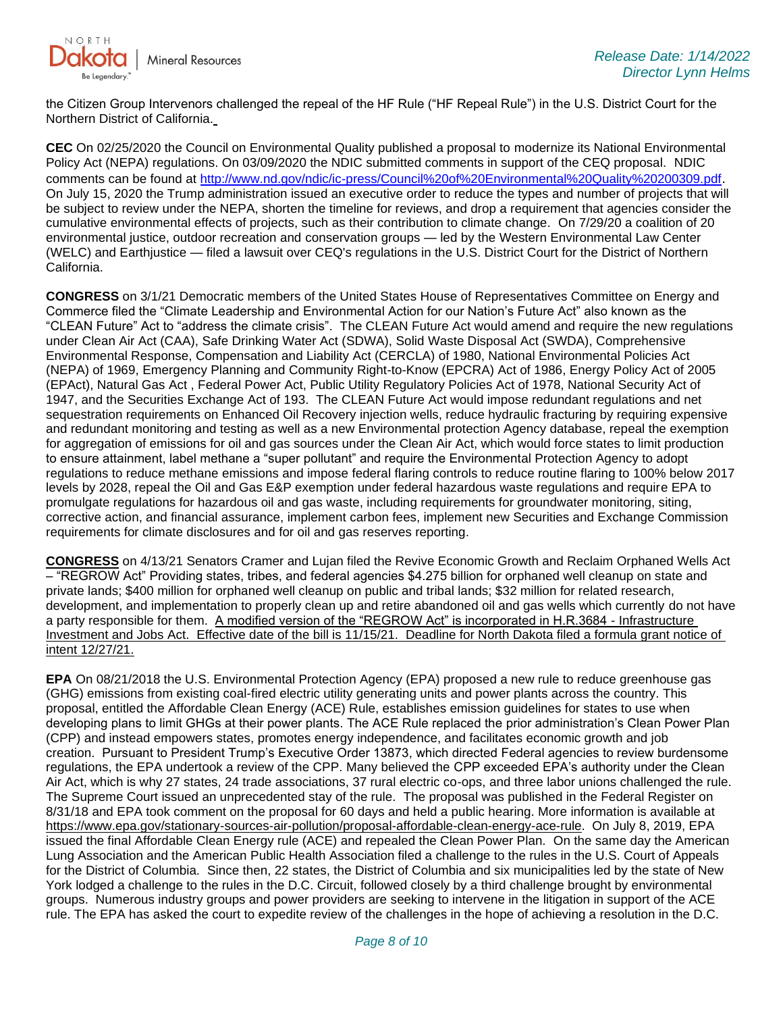

the Citizen Group Intervenors challenged the repeal of the HF Rule ("HF Repeal Rule") in the U.S. District Court for the Northern District of California.

**CEC** On 02/25/2020 the Council on Environmental Quality published a proposal to modernize its National Environmental Policy Act (NEPA) regulations. On 03/09/2020 the NDIC submitted comments in support of the CEQ proposal. NDIC comments can be found at<http://www.nd.gov/ndic/ic-press/Council%20of%20Environmental%20Quality%20200309.pdf>. On July 15, 2020 the Trump administration issued an executive order to reduce the types and number of projects that will be subject to review under the NEPA, shorten the timeline for reviews, and drop a requirement that agencies consider the cumulative environmental effects of projects, such as their contribution to climate change. On 7/29/20 a coalition of 20 environmental justice, outdoor recreation and conservation groups — led by the Western Environmental Law Center (WELC) and Earthjustice — filed a lawsuit over CEQ's regulations in the U.S. District Court for the District of Northern California.

**CONGRESS** on 3/1/21 Democratic members of the United States House of Representatives Committee on Energy and Commerce filed the "Climate Leadership and Environmental Action for our Nation's Future Act" also known as the "CLEAN Future" Act to "address the climate crisis". The CLEAN Future Act would amend and require the new regulations under Clean Air Act (CAA), Safe Drinking Water Act (SDWA), Solid Waste Disposal Act (SWDA), Comprehensive Environmental Response, Compensation and Liability Act (CERCLA) of 1980, National Environmental Policies Act (NEPA) of 1969, Emergency Planning and Community Right-to-Know (EPCRA) Act of 1986, Energy Policy Act of 2005 (EPAct), Natural Gas Act , Federal Power Act, Public Utility Regulatory Policies Act of 1978, National Security Act of 1947, and the Securities Exchange Act of 193. The CLEAN Future Act would impose redundant regulations and net sequestration requirements on Enhanced Oil Recovery injection wells, reduce hydraulic fracturing by requiring expensive and redundant monitoring and testing as well as a new Environmental protection Agency database, repeal the exemption for aggregation of emissions for oil and gas sources under the Clean Air Act, which would force states to limit production to ensure attainment, label methane a "super pollutant" and require the Environmental Protection Agency to adopt regulations to reduce methane emissions and impose federal flaring controls to reduce routine flaring to 100% below 2017 levels by 2028, repeal the Oil and Gas E&P exemption under federal hazardous waste regulations and require EPA to promulgate regulations for hazardous oil and gas waste, including requirements for groundwater monitoring, siting, corrective action, and financial assurance, implement carbon fees, implement new Securities and Exchange Commission requirements for climate disclosures and for oil and gas reserves reporting.

**CONGRESS** on 4/13/21 Senators Cramer and Lujan filed the Revive Economic Growth and Reclaim Orphaned Wells Act – "REGROW Act" Providing states, tribes, and federal agencies \$4.275 billion for orphaned well cleanup on state and private lands; \$400 million for orphaned well cleanup on public and tribal lands; \$32 million for related research, development, and implementation to properly clean up and retire abandoned oil and gas wells which currently do not have a party responsible for them. A modified version of the "REGROW Act" is incorporated in H.R.3684 - Infrastructure Investment and Jobs Act. Effective date of the bill is 11/15/21. Deadline for North Dakota filed a formula grant notice of intent 12/27/21.

**EPA** On 08/21/2018 the U.S. Environmental Protection Agency (EPA) proposed a new rule to reduce greenhouse gas (GHG) emissions from existing coal-fired electric utility generating units and power plants across the country. This proposal, entitled the Affordable Clean Energy (ACE) Rule, establishes emission guidelines for states to use when developing plans to limit GHGs at their power plants. The ACE Rule replaced the prior administration's Clean Power Plan (CPP) and instead empowers states, promotes energy independence, and facilitates economic growth and job creation. Pursuant to President Trump's Executive Order 13873, which directed Federal agencies to review burdensome regulations, the EPA undertook a review of the CPP. Many believed the CPP exceeded EPA's authority under the Clean Air Act, which is why 27 states, 24 trade associations, 37 rural electric co-ops, and three labor unions challenged the rule. The Supreme Court issued an unprecedented stay of the rule. The proposal was published in the Federal Register on 8/31/18 and EPA took comment on the proposal for 60 days and held a public hearing. More information is available at [https://www.epa.gov/stationary-sources-air-pollution/proposal-affordable-clean-energy-ace-rule.](https://gcc02.safelinks.protection.outlook.com/?url=https%3A%2F%2Fwww.epa.gov%2Fstationary-sources-air-pollution%2Fproposal-affordable-clean-energy-ace-rule&data=04%7C01%7Ckahaarsager%40nd.gov%7C564ba615188c4a34e92408d9d76dfd4e%7C2dea0464da514a88bae2b3db94bc0c54%7C0%7C0%7C637777689661818215%7CUnknown%7CTWFpbGZsb3d8eyJWIjoiMC4wLjAwMDAiLCJQIjoiV2luMzIiLCJBTiI6Ik1haWwiLCJXVCI6Mn0%3D%7C3000&sdata=4SSiQBZLheoUcqODIYDa4tLw5Cei2ZSFcVg0riJ%2FDso%3D&reserved=0) On July 8, 2019, EPA issued the final Affordable Clean Energy rule (ACE) and repealed the Clean Power Plan. On the same day the American Lung Association and the American Public Health Association filed a challenge to the rules in the U.S. Court of Appeals for the District of Columbia. Since then, 22 states, the District of Columbia and six municipalities led by the state of New York lodged a challenge to the rules in the D.C. Circuit, followed closely by a third challenge brought by environmental groups. Numerous industry groups and power providers are seeking to intervene in the litigation in support of the ACE rule. The EPA has asked the court to expedite review of the challenges in the hope of achieving a resolution in the D.C.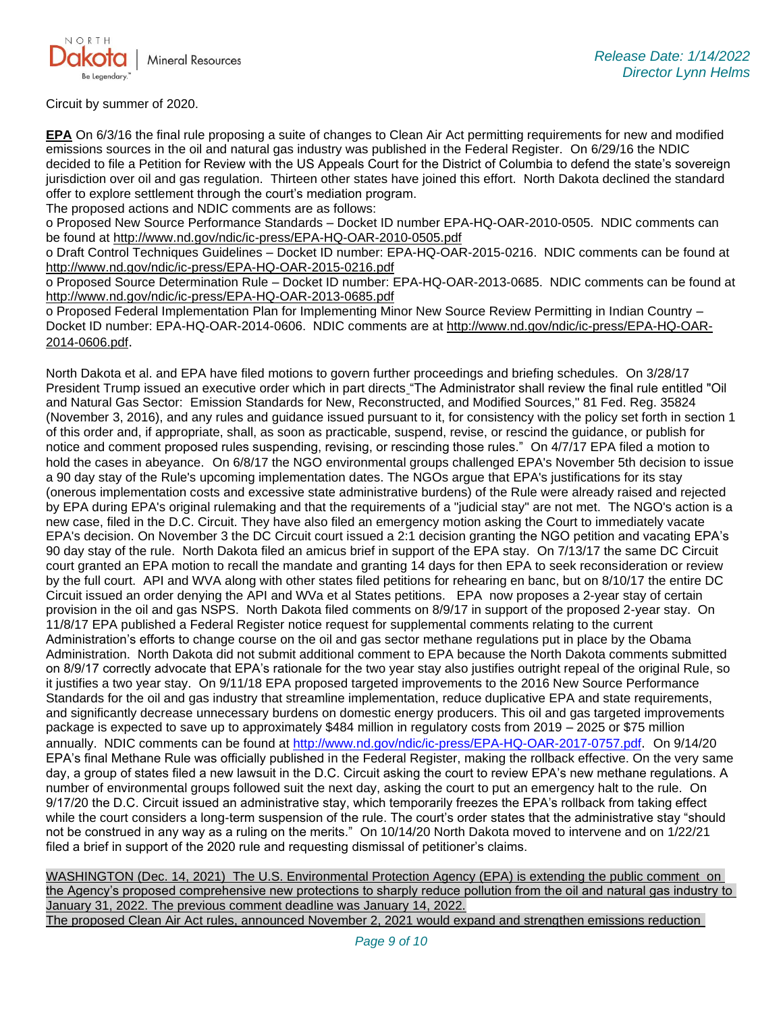

Circuit by summer of 2020.

**EPA** On 6/3/16 the final rule proposing a suite of changes to Clean Air Act permitting requirements for new and modified emissions sources in the oil and natural gas industry was published in the Federal Register. On 6/29/16 the NDIC decided to file a Petition for Review with the US Appeals Court for the District of Columbia to defend the state's sovereign jurisdiction over oil and gas regulation. Thirteen other states have joined this effort. North Dakota declined the standard offer to explore settlement through the court's mediation program.

The proposed actions and NDIC comments are as follows:

o Proposed New Source Performance Standards – Docket ID number EPA-HQ-OAR-2010-0505. NDIC comments can be found at<http://www.nd.gov/ndic/ic-press/EPA-HQ-OAR-2010-0505.pdf>

o Draft Control Techniques Guidelines – Docket ID number: EPA-HQ-OAR-2015-0216. NDIC comments can be found at <http://www.nd.gov/ndic/ic-press/EPA-HQ-OAR-2015-0216.pdf>

o Proposed Source Determination Rule – Docket ID number: EPA-HQ-OAR-2013-0685. NDIC comments can be found at <http://www.nd.gov/ndic/ic-press/EPA-HQ-OAR-2013-0685.pdf>

o Proposed Federal Implementation Plan for Implementing Minor New Source Review Permitting in Indian Country – Docket ID number: EPA-HQ-OAR-2014-0606. NDIC comments are at [http://www.nd.gov/ndic/ic-press/EPA-HQ-OAR-](http://www.nd.gov/ndic/ic-press/EPA-HQ-OAR-2014-0606.pdf)[2014-0606.pdf](http://www.nd.gov/ndic/ic-press/EPA-HQ-OAR-2014-0606.pdf).

North Dakota et al. and EPA have filed motions to govern further proceedings and briefing schedules. On 3/28/17 President Trump issued an executive order which in part directs "The Administrator shall review the final rule entitled "Oil and Natural Gas Sector: Emission Standards for New, Reconstructed, and Modified Sources," 81 Fed. Reg. 35824 (November 3, 2016), and any rules and guidance issued pursuant to it, for consistency with the policy set forth in section 1 of this order and, if appropriate, shall, as soon as practicable, suspend, revise, or rescind the guidance, or publish for notice and comment proposed rules suspending, revising, or rescinding those rules." On 4/7/17 EPA filed a motion to hold the cases in abeyance. On 6/8/17 the NGO environmental groups challenged EPA's November 5th decision to issue a 90 day stay of the Rule's upcoming implementation dates. The NGOs argue that EPA's justifications for its stay (onerous implementation costs and excessive state administrative burdens) of the Rule were already raised and rejected by EPA during EPA's original rulemaking and that the requirements of a "judicial stay" are not met. The NGO's action is a new case, filed in the D.C. Circuit. They have also filed an emergency motion asking the Court to immediately vacate EPA's decision. On November 3 the DC Circuit court issued a 2:1 decision granting the NGO petition and vacating EPA's 90 day stay of the rule. North Dakota filed an amicus brief in support of the EPA stay. On 7/13/17 the same DC Circuit court granted an EPA motion to recall the mandate and granting 14 days for then EPA to seek reconsideration or review by the full court. API and WVA along with other states filed petitions for rehearing en banc, but on 8/10/17 the entire DC Circuit issued an order denying the API and WVa et al States petitions. EPA now proposes a 2-year stay of certain provision in the oil and gas NSPS. North Dakota filed comments on 8/9/17 in support of the proposed 2-year stay. On 11/8/17 EPA published a Federal Register notice request for supplemental comments relating to the current Administration's efforts to change course on the oil and gas sector methane regulations put in place by the Obama Administration. North Dakota did not submit additional comment to EPA because the North Dakota comments submitted on 8/9/17 correctly advocate that EPA's rationale for the two year stay also justifies outright repeal of the original Rule, so it justifies a two year stay. On 9/11/18 EPA proposed targeted improvements to the 2016 New Source Performance Standards for the oil and gas industry that streamline implementation, reduce duplicative EPA and state requirements, and significantly decrease unnecessary burdens on domestic energy producers. This oil and gas targeted improvements package is expected to save up to approximately \$484 million in regulatory costs from 2019 – 2025 or \$75 million annually. NDIC comments can be found at<http://www.nd.gov/ndic/ic-press/EPA-HQ-OAR-2017-0757.pdf>. On 9/14/20 EPA's final Methane Rule was officially published in the Federal Register, making the rollback effective. On the very same day, a group of states filed a new lawsuit in the D.C. Circuit asking the court to review EPA's new methane regulations. A number of environmental groups followed suit the next day, asking the court to put an emergency halt to the rule. On 9/17/20 the D.C. Circuit issued an administrative stay, which temporarily freezes the EPA's rollback from taking effect while the court considers a long-term suspension of the rule. The court's order states that the administrative stay "should not be construed in any way as a ruling on the merits." On 10/14/20 North Dakota moved to intervene and on 1/22/21 filed a brief in support of the 2020 rule and requesting dismissal of petitioner's claims.

WASHINGTON (Dec. 14, 2021) The U.S. Environmental Protection Agency (EPA) is extending the public comment on the Agency's proposed comprehensive new protections to sharply reduce pollution from the oil and natural gas industry to January 31, 2022. The previous comment deadline was January 14, 2022. The proposed Clean Air Act rules, announced November 2, 2021 would expand and strengthen emissions reduction